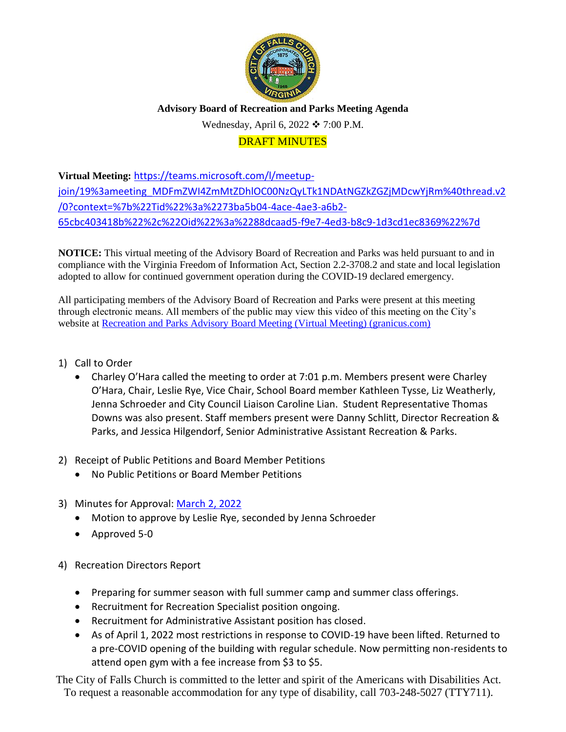

# **Advisory Board of Recreation and Parks Meeting Agenda**

Wednesday, April 6, 2022  $\div$  7:00 P.M.

## DRAFT MINUTES

**Virtual Meeting:** [https://teams.microsoft.com/l/meetup](https://teams.microsoft.com/l/meetup-join/19%3ameeting_MDFmZWI4ZmMtZDhlOC00NzQyLTk1NDAtNGZkZGZjMDcwYjRm%40thread.v2/0?context=%7b%22Tid%22%3a%2273ba5b04-4ace-4ae3-a6b2-65cbc403418b%22%2c%22Oid%22%3a%2288dcaad5-f9e7-4ed3-b8c9-1d3cd1ec8369%22%7d)[join/19%3ameeting\\_MDFmZWI4ZmMtZDhlOC00NzQyLTk1NDAtNGZkZGZjMDcwYjRm%40thread.v2](https://teams.microsoft.com/l/meetup-join/19%3ameeting_MDFmZWI4ZmMtZDhlOC00NzQyLTk1NDAtNGZkZGZjMDcwYjRm%40thread.v2/0?context=%7b%22Tid%22%3a%2273ba5b04-4ace-4ae3-a6b2-65cbc403418b%22%2c%22Oid%22%3a%2288dcaad5-f9e7-4ed3-b8c9-1d3cd1ec8369%22%7d) [/0?context=%7b%22Tid%22%3a%2273ba5b04-4ace-4ae3-a6b2-](https://teams.microsoft.com/l/meetup-join/19%3ameeting_MDFmZWI4ZmMtZDhlOC00NzQyLTk1NDAtNGZkZGZjMDcwYjRm%40thread.v2/0?context=%7b%22Tid%22%3a%2273ba5b04-4ace-4ae3-a6b2-65cbc403418b%22%2c%22Oid%22%3a%2288dcaad5-f9e7-4ed3-b8c9-1d3cd1ec8369%22%7d) [65cbc403418b%22%2c%22Oid%22%3a%2288dcaad5-f9e7-4ed3-b8c9-1d3cd1ec8369%22%7d](https://teams.microsoft.com/l/meetup-join/19%3ameeting_MDFmZWI4ZmMtZDhlOC00NzQyLTk1NDAtNGZkZGZjMDcwYjRm%40thread.v2/0?context=%7b%22Tid%22%3a%2273ba5b04-4ace-4ae3-a6b2-65cbc403418b%22%2c%22Oid%22%3a%2288dcaad5-f9e7-4ed3-b8c9-1d3cd1ec8369%22%7d)

**NOTICE:** This virtual meeting of the Advisory Board of Recreation and Parks was held pursuant to and in compliance with the Virginia Freedom of Information Act, Section 2.2-3708.2 and state and local legislation adopted to allow for continued government operation during the COVID-19 declared emergency.

All participating members of the Advisory Board of Recreation and Parks were present at this meeting through electronic means. All members of the public may view this video of this meeting on the City's website at [Recreation and Parks Advisory Board Meeting \(Virtual Meeting\) \(granicus.com\)](https://fallschurch-va.granicus.com/player/clip/1493?view_id=2&redirect=true)

- 1) Call to Order
	- Charley O'Hara called the meeting to order at 7:01 p.m. Members present were Charley O'Hara, Chair, Leslie Rye, Vice Chair, School Board member Kathleen Tysse, Liz Weatherly, Jenna Schroeder and City Council Liaison Caroline Lian. Student Representative Thomas Downs was also present. Staff members present were Danny Schlitt, Director Recreation & Parks, and Jessica Hilgendorf, Senior Administrative Assistant Recreation & Parks.
- 2) Receipt of Public Petitions and Board Member Petitions
	- No Public Petitions or Board Member Petitions
- 3) Minutes for Approval: [March 2, 2022](http://www.fallschurchva.gov/AgendaCenter/ViewFile/Minutes/_03022022-2010)
	- Motion to approve by Leslie Rye, seconded by Jenna Schroeder
	- Approved 5-0
- 4) Recreation Directors Report
	- Preparing for summer season with full summer camp and summer class offerings.
	- Recruitment for Recreation Specialist position ongoing.
	- Recruitment for Administrative Assistant position has closed.
	- As of April 1, 2022 most restrictions in response to COVID-19 have been lifted. Returned to a pre-COVID opening of the building with regular schedule. Now permitting non-residents to attend open gym with a fee increase from \$3 to \$5.

The City of Falls Church is committed to the letter and spirit of the Americans with Disabilities Act. To request a reasonable accommodation for any type of disability, call 703-248-5027 (TTY711).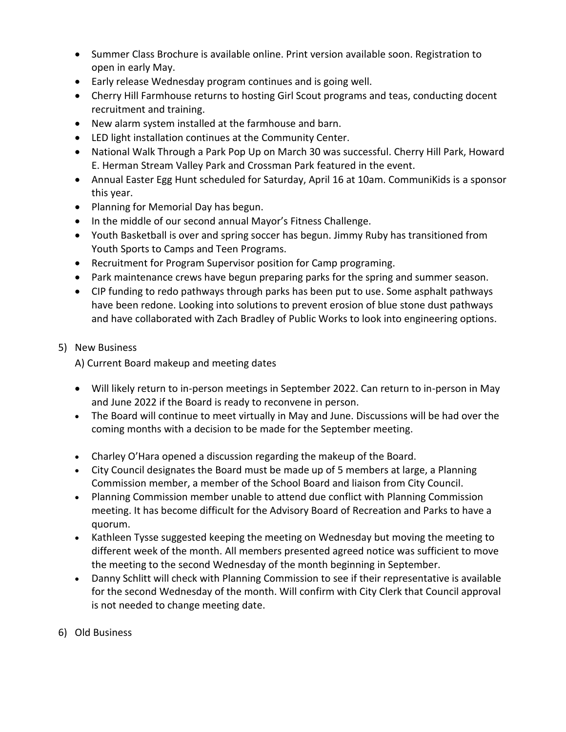- Summer Class Brochure is available online. Print version available soon. Registration to open in early May.
- Early release Wednesday program continues and is going well.
- Cherry Hill Farmhouse returns to hosting Girl Scout programs and teas, conducting docent recruitment and training.
- New alarm system installed at the farmhouse and barn.
- LED light installation continues at the Community Center.
- National Walk Through a Park Pop Up on March 30 was successful. Cherry Hill Park, Howard E. Herman Stream Valley Park and Crossman Park featured in the event.
- Annual Easter Egg Hunt scheduled for Saturday, April 16 at 10am. CommuniKids is a sponsor this year.
- Planning for Memorial Day has begun.
- In the middle of our second annual Mayor's Fitness Challenge.
- Youth Basketball is over and spring soccer has begun. Jimmy Ruby has transitioned from Youth Sports to Camps and Teen Programs.
- Recruitment for Program Supervisor position for Camp programing.
- Park maintenance crews have begun preparing parks for the spring and summer season.
- CIP funding to redo pathways through parks has been put to use. Some asphalt pathways have been redone. Looking into solutions to prevent erosion of blue stone dust pathways and have collaborated with Zach Bradley of Public Works to look into engineering options.
- 5) New Business

A) Current Board makeup and meeting dates

- Will likely return to in-person meetings in September 2022. Can return to in-person in May and June 2022 if the Board is ready to reconvene in person.
- The Board will continue to meet virtually in May and June. Discussions will be had over the coming months with a decision to be made for the September meeting.
- Charley O'Hara opened a discussion regarding the makeup of the Board.
- City Council designates the Board must be made up of 5 members at large, a Planning Commission member, a member of the School Board and liaison from City Council.
- Planning Commission member unable to attend due conflict with Planning Commission meeting. It has become difficult for the Advisory Board of Recreation and Parks to have a quorum.
- Kathleen Tysse suggested keeping the meeting on Wednesday but moving the meeting to different week of the month. All members presented agreed notice was sufficient to move the meeting to the second Wednesday of the month beginning in September.
- Danny Schlitt will check with Planning Commission to see if their representative is available for the second Wednesday of the month. Will confirm with City Clerk that Council approval is not needed to change meeting date.
- 6) Old Business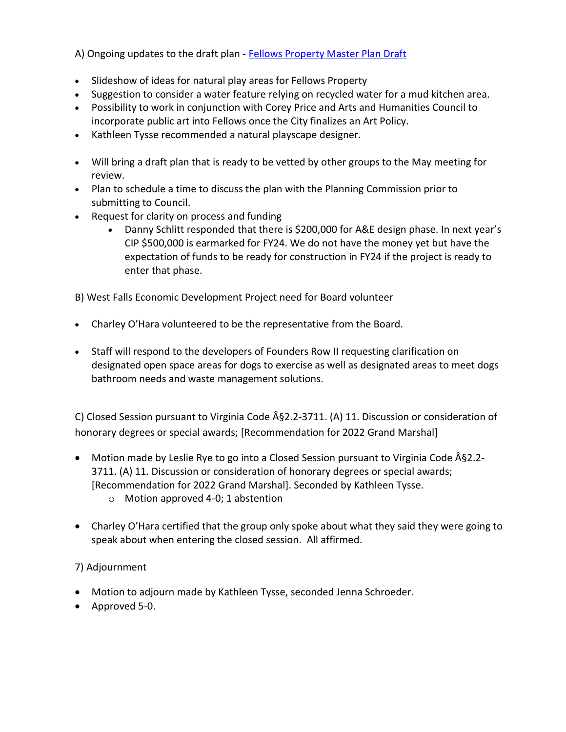A) Ongoing updates to the draft plan - [Fellows Property Master Plan Draft](https://www.fallschurchva.gov/DocumentCenter/View/15625/FellowsPropertyMPDraft1221)

- Slideshow of ideas for natural play areas for Fellows Property
- Suggestion to consider a water feature relying on recycled water for a mud kitchen area.
- Possibility to work in conjunction with Corey Price and Arts and Humanities Council to incorporate public art into Fellows once the City finalizes an Art Policy.
- Kathleen Tysse recommended a natural playscape designer.
- Will bring a draft plan that is ready to be vetted by other groups to the May meeting for review.
- Plan to schedule a time to discuss the plan with the Planning Commission prior to submitting to Council.
- Request for clarity on process and funding
	- Danny Schlitt responded that there is \$200,000 for A&E design phase. In next year's CIP \$500,000 is earmarked for FY24. We do not have the money yet but have the expectation of funds to be ready for construction in FY24 if the project is ready to enter that phase.

B) West Falls Economic Development Project need for Board volunteer

- Charley O'Hara volunteered to be the representative from the Board.
- Staff will respond to the developers of Founders Row II requesting clarification on designated open space areas for dogs to exercise as well as designated areas to meet dogs bathroom needs and waste management solutions.

C) Closed Session pursuant to Virginia Code §2.2-3711. (A) 11. Discussion or consideration of honorary degrees or special awards; [Recommendation for 2022 Grand Marshal]

- Motion made by Leslie Rye to go into a Closed Session pursuant to Virginia Code  $\hat{A}$ §2.2-3711. (A) 11. Discussion or consideration of honorary degrees or special awards; [Recommendation for 2022 Grand Marshal]. Seconded by Kathleen Tysse. o Motion approved 4-0; 1 abstention
- Charley O'Hara certified that the group only spoke about what they said they were going to speak about when entering the closed session. All affirmed.

### 7) Adjournment

- Motion to adjourn made by Kathleen Tysse, seconded Jenna Schroeder.
- Approved 5-0.